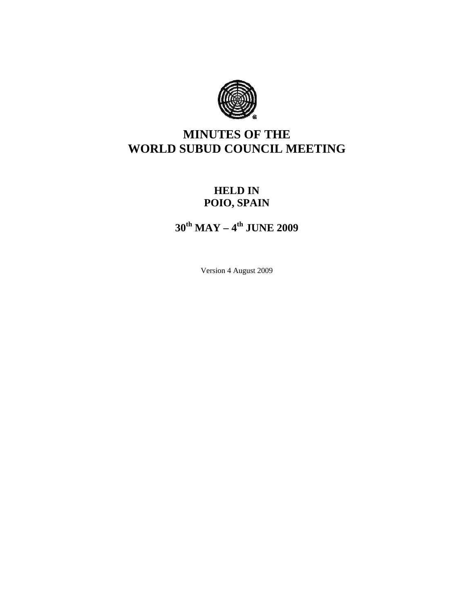

# **MINUTES OF THE WORLD SUBUD COUNCIL MEETING**

# **HELD IN POIO, SPAIN**

**30th MAY – 4th JUNE 2009** 

Version 4 August 2009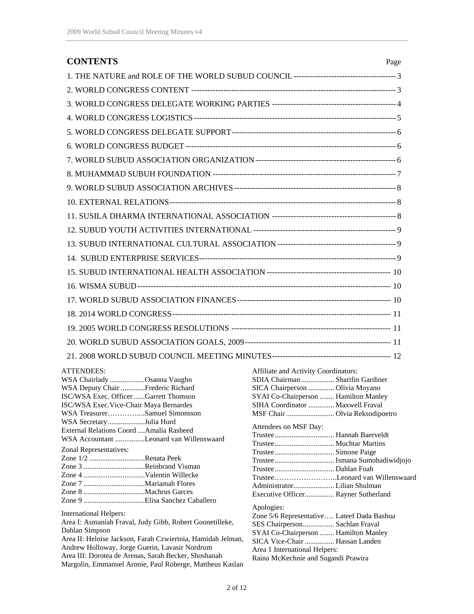| <b>CONTENTS</b>                                                                                                                | Page                                                                                                                                                |  |
|--------------------------------------------------------------------------------------------------------------------------------|-----------------------------------------------------------------------------------------------------------------------------------------------------|--|
|                                                                                                                                |                                                                                                                                                     |  |
|                                                                                                                                |                                                                                                                                                     |  |
|                                                                                                                                |                                                                                                                                                     |  |
|                                                                                                                                |                                                                                                                                                     |  |
|                                                                                                                                |                                                                                                                                                     |  |
|                                                                                                                                |                                                                                                                                                     |  |
|                                                                                                                                |                                                                                                                                                     |  |
|                                                                                                                                |                                                                                                                                                     |  |
|                                                                                                                                |                                                                                                                                                     |  |
|                                                                                                                                |                                                                                                                                                     |  |
|                                                                                                                                |                                                                                                                                                     |  |
|                                                                                                                                |                                                                                                                                                     |  |
|                                                                                                                                |                                                                                                                                                     |  |
|                                                                                                                                |                                                                                                                                                     |  |
|                                                                                                                                |                                                                                                                                                     |  |
|                                                                                                                                |                                                                                                                                                     |  |
|                                                                                                                                |                                                                                                                                                     |  |
|                                                                                                                                |                                                                                                                                                     |  |
|                                                                                                                                |                                                                                                                                                     |  |
|                                                                                                                                |                                                                                                                                                     |  |
|                                                                                                                                |                                                                                                                                                     |  |
| <b>ATTENDEES:</b><br>WSA Chairlady Osanna Vaughn<br>WSA Deputy Chair Frederic Richard<br>ISC/WSA Exec. Officer Garrett Thomson | Affiliate and Activity Coordinators:<br>SDIA Chairman  Sharifin Gardiner<br>SICA Chairperson  Olivia Moyano<br>SYAI Co-Chairperson  Hamilton Manley |  |

| ISC/WSA Exec. Officer Garrett Thomson                                                                                                                                                                                                                                                                                                     | SYAI Co-Chairperson  Hamilton Manley                                                                                                                                                                                                         |
|-------------------------------------------------------------------------------------------------------------------------------------------------------------------------------------------------------------------------------------------------------------------------------------------------------------------------------------------|----------------------------------------------------------------------------------------------------------------------------------------------------------------------------------------------------------------------------------------------|
| <b>ISC/WSA Exec. Vice-Chair Maya Bernardes</b>                                                                                                                                                                                                                                                                                            | SIHA Coordinator  Maxwell Fraval                                                                                                                                                                                                             |
| WSA TreasurerSamuel Simonsson                                                                                                                                                                                                                                                                                                             |                                                                                                                                                                                                                                              |
| WSA SecretaryJulia Hurd<br>External Relations Coord Amalia Rasheed<br>WSA Accountant Leonard van Willenswaard<br>Zonal Representatives:<br>Zone 1/2 Renata Peek<br>Zone 3 Reinbrand Visman                                                                                                                                                | Attendees on MSF Day:<br>TrusteeLeonard van Willenswaard<br>Executive Officer Rayner Sutherland                                                                                                                                              |
| International Helpers:<br>Area I: Asmaniah Fraval, Judy Gibb, Robert Goonetilleke,<br>Dahlan Simpson<br>Area II: Heloise Jackson, Farah Czwiertnia, Hamidah Jelman,<br>Andrew Holloway, Jorge Guerin, Lavasir Nordrum<br>Area III: Dorotea de Arenas, Sarah Becker, Shoshanah<br>Margolin, Emmanuel Aronie, Paul Roberge, Mattheus Kaslan | Apologies:<br>Zone 5/6 Representative Lateef Dada Bashua<br>SES Chairperson Sachlan Fraval<br>SYAI Co-Chairperson  Hamilton Manley<br>SICA Vice-Chair  Hassan Landen<br>Area 1 International Helpers:<br>Raina McKechnie and Sugandi Prawira |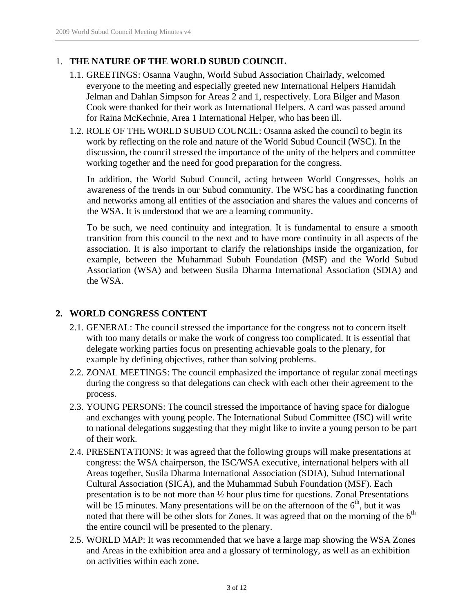## 1. **THE NATURE OF THE WORLD SUBUD COUNCIL**

- 1.1. GREETINGS: Osanna Vaughn, World Subud Association Chairlady, welcomed everyone to the meeting and especially greeted new International Helpers Hamidah Jelman and Dahlan Simpson for Areas 2 and 1, respectively. Lora Bilger and Mason Cook were thanked for their work as International Helpers. A card was passed around for Raina McKechnie, Area 1 International Helper, who has been ill.
- 1.2. ROLE OF THE WORLD SUBUD COUNCIL: Osanna asked the council to begin its work by reflecting on the role and nature of the World Subud Council (WSC). In the discussion, the council stressed the importance of the unity of the helpers and committee working together and the need for good preparation for the congress.

In addition, the World Subud Council, acting between World Congresses, holds an awareness of the trends in our Subud community. The WSC has a coordinating function and networks among all entities of the association and shares the values and concerns of the WSA. It is understood that we are a learning community.

To be such, we need continuity and integration. It is fundamental to ensure a smooth transition from this council to the next and to have more continuity in all aspects of the association. It is also important to clarify the relationships inside the organization, for example, between the Muhammad Subuh Foundation (MSF) and the World Subud Association (WSA) and between Susila Dharma International Association (SDIA) and the WSA.

# **2. WORLD CONGRESS CONTENT**

- 2.1. GENERAL: The council stressed the importance for the congress not to concern itself with too many details or make the work of congress too complicated. It is essential that delegate working parties focus on presenting achievable goals to the plenary, for example by defining objectives, rather than solving problems.
- 2.2. ZONAL MEETINGS: The council emphasized the importance of regular zonal meetings during the congress so that delegations can check with each other their agreement to the process.
- 2.3. YOUNG PERSONS: The council stressed the importance of having space for dialogue and exchanges with young people. The International Subud Committee (ISC) will write to national delegations suggesting that they might like to invite a young person to be part of their work.
- 2.4. PRESENTATIONS: It was agreed that the following groups will make presentations at congress: the WSA chairperson, the ISC/WSA executive, international helpers with all Areas together, Susila Dharma International Association (SDIA), Subud International Cultural Association (SICA), and the Muhammad Subuh Foundation (MSF). Each presentation is to be not more than ½ hour plus time for questions. Zonal Presentations will be 15 minutes. Many presentations will be on the afternoon of the  $6<sup>th</sup>$ , but it was noted that there will be other slots for Zones. It was agreed that on the morning of the  $6<sup>th</sup>$ the entire council will be presented to the plenary.
- 2.5. WORLD MAP: It was recommended that we have a large map showing the WSA Zones and Areas in the exhibition area and a glossary of terminology, as well as an exhibition on activities within each zone.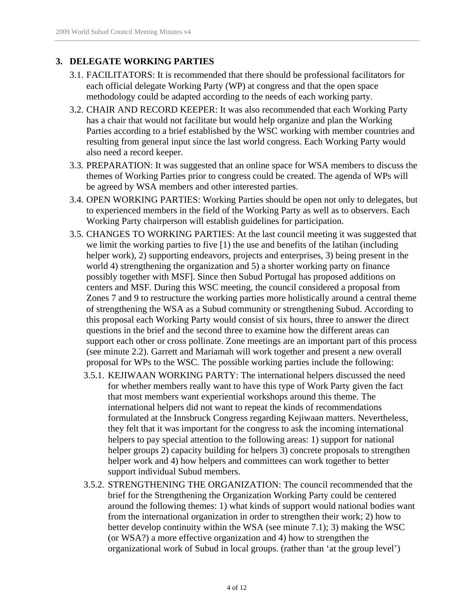# **3. DELEGATE WORKING PARTIES**

- 3.1. FACILITATORS: It is recommended that there should be professional facilitators for each official delegate Working Party (WP) at congress and that the open space methodology could be adapted according to the needs of each working party.
- 3.2. CHAIR AND RECORD KEEPER: It was also recommended that each Working Party has a chair that would not facilitate but would help organize and plan the Working Parties according to a brief established by the WSC working with member countries and resulting from general input since the last world congress. Each Working Party would also need a record keeper.
- 3.3. PREPARATION: It was suggested that an online space for WSA members to discuss the themes of Working Parties prior to congress could be created. The agenda of WPs will be agreed by WSA members and other interested parties.
- 3.4. OPEN WORKING PARTIES: Working Parties should be open not only to delegates, but to experienced members in the field of the Working Party as well as to observers. Each Working Party chairperson will establish guidelines for participation.
- 3.5. CHANGES TO WORKING PARTIES: At the last council meeting it was suggested that we limit the working parties to five [1) the use and benefits of the latihan (including helper work), 2) supporting endeavors, projects and enterprises, 3) being present in the world 4) strengthening the organization and 5) a shorter working party on finance possibly together with MSF]. Since then Subud Portugal has proposed additions on centers and MSF. During this WSC meeting, the council considered a proposal from Zones 7 and 9 to restructure the working parties more holistically around a central theme of strengthening the WSA as a Subud community or strengthening Subud. According to this proposal each Working Party would consist of six hours, three to answer the direct questions in the brief and the second three to examine how the different areas can support each other or cross pollinate. Zone meetings are an important part of this process (see minute 2.2). Garrett and Mariamah will work together and present a new overall proposal for WPs to the WSC. The possible working parties include the following:
	- 3.5.1. KEJIWAAN WORKING PARTY: The international helpers discussed the need for whether members really want to have this type of Work Party given the fact that most members want experiential workshops around this theme. The international helpers did not want to repeat the kinds of recommendations formulated at the Innsbruck Congress regarding Kejiwaan matters. Nevertheless, they felt that it was important for the congress to ask the incoming international helpers to pay special attention to the following areas: 1) support for national helper groups 2) capacity building for helpers 3) concrete proposals to strengthen helper work and 4) how helpers and committees can work together to better support individual Subud members.
	- 3.5.2. STRENGTHENING THE ORGANIZATION: The council recommended that the brief for the Strengthening the Organization Working Party could be centered around the following themes: 1) what kinds of support would national bodies want from the international organization in order to strengthen their work; 2) how to better develop continuity within the WSA (see minute 7.1); 3) making the WSC (or WSA?) a more effective organization and 4) how to strengthen the organizational work of Subud in local groups. (rather than 'at the group level')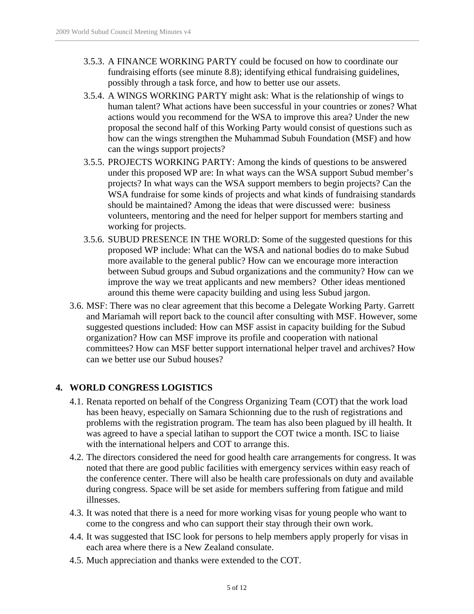- 3.5.3. A FINANCE WORKING PARTY could be focused on how to coordinate our fundraising efforts (see minute 8.8); identifying ethical fundraising guidelines, possibly through a task force, and how to better use our assets.
- 3.5.4. A WINGS WORKING PARTY might ask: What is the relationship of wings to human talent? What actions have been successful in your countries or zones? What actions would you recommend for the WSA to improve this area? Under the new proposal the second half of this Working Party would consist of questions such as how can the wings strengthen the Muhammad Subuh Foundation (MSF) and how can the wings support projects?
- 3.5.5. PROJECTS WORKING PARTY: Among the kinds of questions to be answered under this proposed WP are: In what ways can the WSA support Subud member's projects? In what ways can the WSA support members to begin projects? Can the WSA fundraise for some kinds of projects and what kinds of fundraising standards should be maintained? Among the ideas that were discussed were: business volunteers, mentoring and the need for helper support for members starting and working for projects.
- 3.5.6. SUBUD PRESENCE IN THE WORLD: Some of the suggested questions for this proposed WP include: What can the WSA and national bodies do to make Subud more available to the general public? How can we encourage more interaction between Subud groups and Subud organizations and the community? How can we improve the way we treat applicants and new members? Other ideas mentioned around this theme were capacity building and using less Subud jargon.
- 3.6. MSF: There was no clear agreement that this become a Delegate Working Party. Garrett and Mariamah will report back to the council after consulting with MSF. However, some suggested questions included: How can MSF assist in capacity building for the Subud organization? How can MSF improve its profile and cooperation with national committees? How can MSF better support international helper travel and archives? How can we better use our Subud houses?

#### **4. WORLD CONGRESS LOGISTICS**

- 4.1. Renata reported on behalf of the Congress Organizing Team (COT) that the work load has been heavy, especially on Samara Schionning due to the rush of registrations and problems with the registration program. The team has also been plagued by ill health. It was agreed to have a special latihan to support the COT twice a month. ISC to liaise with the international helpers and COT to arrange this.
- 4.2. The directors considered the need for good health care arrangements for congress. It was noted that there are good public facilities with emergency services within easy reach of the conference center. There will also be health care professionals on duty and available during congress. Space will be set aside for members suffering from fatigue and mild illnesses.
- 4.3. It was noted that there is a need for more working visas for young people who want to come to the congress and who can support their stay through their own work.
- 4.4. It was suggested that ISC look for persons to help members apply properly for visas in each area where there is a New Zealand consulate.
- 4.5. Much appreciation and thanks were extended to the COT.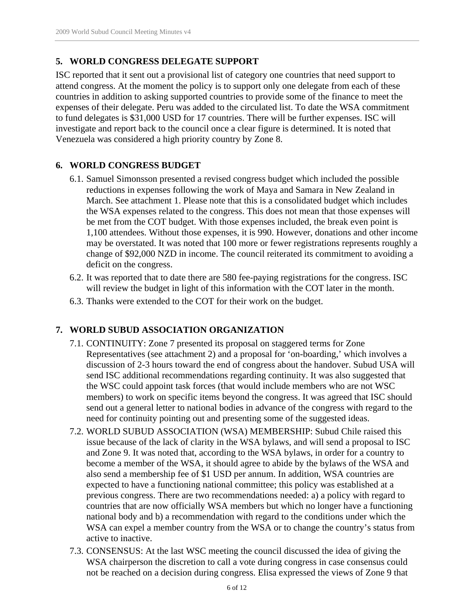# **5. WORLD CONGRESS DELEGATE SUPPORT**

ISC reported that it sent out a provisional list of category one countries that need support to attend congress. At the moment the policy is to support only one delegate from each of these countries in addition to asking supported countries to provide some of the finance to meet the expenses of their delegate. Peru was added to the circulated list. To date the WSA commitment to fund delegates is \$31,000 USD for 17 countries. There will be further expenses. ISC will investigate and report back to the council once a clear figure is determined. It is noted that Venezuela was considered a high priority country by Zone 8.

## **6. WORLD CONGRESS BUDGET**

- 6.1. Samuel Simonsson presented a revised congress budget which included the possible reductions in expenses following the work of Maya and Samara in New Zealand in March. See attachment 1. Please note that this is a consolidated budget which includes the WSA expenses related to the congress. This does not mean that those expenses will be met from the COT budget. With those expenses included, the break even point is 1,100 attendees. Without those expenses, it is 990. However, donations and other income may be overstated. It was noted that 100 more or fewer registrations represents roughly a change of \$92,000 NZD in income. The council reiterated its commitment to avoiding a deficit on the congress.
- 6.2. It was reported that to date there are 580 fee-paying registrations for the congress. ISC will review the budget in light of this information with the COT later in the month.
- 6.3. Thanks were extended to the COT for their work on the budget.

# **7. WORLD SUBUD ASSOCIATION ORGANIZATION**

- 7.1. CONTINUITY: Zone 7 presented its proposal on staggered terms for Zone Representatives (see attachment 2) and a proposal for 'on-boarding,' which involves a discussion of 2-3 hours toward the end of congress about the handover. Subud USA will send ISC additional recommendations regarding continuity. It was also suggested that the WSC could appoint task forces (that would include members who are not WSC members) to work on specific items beyond the congress. It was agreed that ISC should send out a general letter to national bodies in advance of the congress with regard to the need for continuity pointing out and presenting some of the suggested ideas.
- 7.2. WORLD SUBUD ASSOCIATION (WSA) MEMBERSHIP: Subud Chile raised this issue because of the lack of clarity in the WSA bylaws, and will send a proposal to ISC and Zone 9. It was noted that, according to the WSA bylaws, in order for a country to become a member of the WSA, it should agree to abide by the bylaws of the WSA and also send a membership fee of \$1 USD per annum. In addition, WSA countries are expected to have a functioning national committee; this policy was established at a previous congress. There are two recommendations needed: a) a policy with regard to countries that are now officially WSA members but which no longer have a functioning national body and b) a recommendation with regard to the conditions under which the WSA can expel a member country from the WSA or to change the country's status from active to inactive.
- 7.3. CONSENSUS: At the last WSC meeting the council discussed the idea of giving the WSA chairperson the discretion to call a vote during congress in case consensus could not be reached on a decision during congress. Elisa expressed the views of Zone 9 that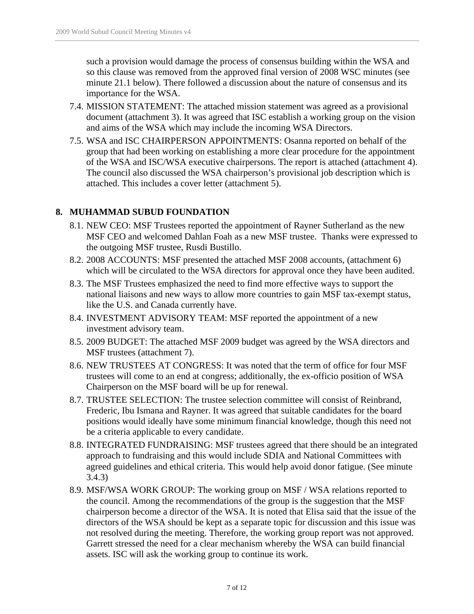such a provision would damage the process of consensus building within the WSA and so this clause was removed from the approved final version of 2008 WSC minutes (see minute 21.1 below). There followed a discussion about the nature of consensus and its importance for the WSA.

- 7.4. MISSION STATEMENT: The attached mission statement was agreed as a provisional document (attachment 3). It was agreed that ISC establish a working group on the vision and aims of the WSA which may include the incoming WSA Directors.
- 7.5. WSA and ISC CHAIRPERSON APPOINTMENTS: Osanna reported on behalf of the group that had been working on establishing a more clear procedure for the appointment of the WSA and ISC/WSA executive chairpersons. The report is attached (attachment 4). The council also discussed the WSA chairperson's provisional job description which is attached. This includes a cover letter (attachment 5).

## **8. MUHAMMAD SUBUD FOUNDATION**

- 8.1. NEW CEO: MSF Trustees reported the appointment of Rayner Sutherland as the new MSF CEO and welcomed Dahlan Foah as a new MSF trustee. Thanks were expressed to the outgoing MSF trustee, Rusdi Bustillo.
- 8.2. 2008 ACCOUNTS: MSF presented the attached MSF 2008 accounts, (attachment 6) which will be circulated to the WSA directors for approval once they have been audited.
- 8.3. The MSF Trustees emphasized the need to find more effective ways to support the national liaisons and new ways to allow more countries to gain MSF tax-exempt status, like the U.S. and Canada currently have.
- 8.4. INVESTMENT ADVISORY TEAM: MSF reported the appointment of a new investment advisory team.
- 8.5. 2009 BUDGET: The attached MSF 2009 budget was agreed by the WSA directors and MSF trustees (attachment 7).
- 8.6. NEW TRUSTEES AT CONGRESS: It was noted that the term of office for four MSF trustees will come to an end at congress; additionally, the ex-officio position of WSA Chairperson on the MSF board will be up for renewal.
- 8.7. TRUSTEE SELECTION: The trustee selection committee will consist of Reinbrand, Frederic, Ibu Ismana and Rayner. It was agreed that suitable candidates for the board positions would ideally have some minimum financial knowledge, though this need not be a criteria applicable to every candidate.
- 8.8. INTEGRATED FUNDRAISING: MSF trustees agreed that there should be an integrated approach to fundraising and this would include SDIA and National Committees with agreed guidelines and ethical criteria. This would help avoid donor fatigue. (See minute 3.4.3)
- 8.9. MSF/WSA WORK GROUP: The working group on MSF / WSA relations reported to the council. Among the recommendations of the group is the suggestion that the MSF chairperson become a director of the WSA. It is noted that Elisa said that the issue of the directors of the WSA should be kept as a separate topic for discussion and this issue was not resolved during the meeting. Therefore, the working group report was not approved. Garrett stressed the need for a clear mechanism whereby the WSA can build financial assets. ISC will ask the working group to continue its work.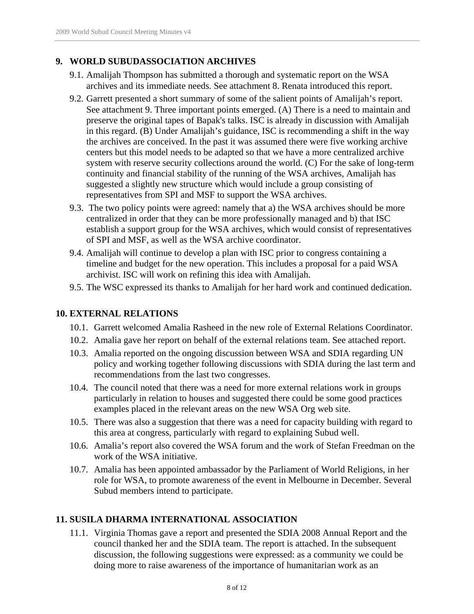#### **9. WORLD SUBUDASSOCIATION ARCHIVES**

- 9.1. Amalijah Thompson has submitted a thorough and systematic report on the WSA archives and its immediate needs. See attachment 8. Renata introduced this report.
- 9.2. Garrett presented a short summary of some of the salient points of Amalijah's report. See attachment 9. Three important points emerged. (A) There is a need to maintain and preserve the original tapes of Bapak's talks. ISC is already in discussion with Amalijah in this regard. (B) Under Amalijah's guidance, ISC is recommending a shift in the way the archives are conceived. In the past it was assumed there were five working archive centers but this model needs to be adapted so that we have a more centralized archive system with reserve security collections around the world. (C) For the sake of long-term continuity and financial stability of the running of the WSA archives, Amalijah has suggested a slightly new structure which would include a group consisting of representatives from SPI and MSF to support the WSA archives.
- 9.3. The two policy points were agreed: namely that a) the WSA archives should be more centralized in order that they can be more professionally managed and b) that ISC establish a support group for the WSA archives, which would consist of representatives of SPI and MSF, as well as the WSA archive coordinator.
- 9.4. Amalijah will continue to develop a plan with ISC prior to congress containing a timeline and budget for the new operation. This includes a proposal for a paid WSA archivist. ISC will work on refining this idea with Amalijah.
- 9.5. The WSC expressed its thanks to Amalijah for her hard work and continued dedication.

#### **10. EXTERNAL RELATIONS**

- 10.1. Garrett welcomed Amalia Rasheed in the new role of External Relations Coordinator.
- 10.2. Amalia gave her report on behalf of the external relations team. See attached report.
- 10.3. Amalia reported on the ongoing discussion between WSA and SDIA regarding UN policy and working together following discussions with SDIA during the last term and recommendations from the last two congresses.
- 10.4. The council noted that there was a need for more external relations work in groups particularly in relation to houses and suggested there could be some good practices examples placed in the relevant areas on the new WSA Org web site.
- 10.5. There was also a suggestion that there was a need for capacity building with regard to this area at congress, particularly with regard to explaining Subud well.
- 10.6. Amalia's report also covered the WSA forum and the work of Stefan Freedman on the work of the WSA initiative.
- 10.7. Amalia has been appointed ambassador by the Parliament of World Religions, in her role for WSA, to promote awareness of the event in Melbourne in December. Several Subud members intend to participate.

#### **11. SUSILA DHARMA INTERNATIONAL ASSOCIATION**

11.1. Virginia Thomas gave a report and presented the SDIA 2008 Annual Report and the council thanked her and the SDIA team. The report is attached. In the subsequent discussion, the following suggestions were expressed: as a community we could be doing more to raise awareness of the importance of humanitarian work as an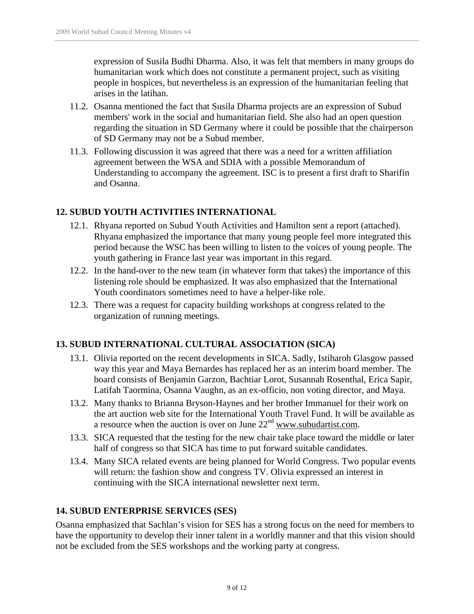expression of Susila Budhi Dharma. Also, it was felt that members in many groups do humanitarian work which does not constitute a permanent project, such as visiting people in hospices, but nevertheless is an expression of the humanitarian feeling that arises in the latihan.

- 11.2. Osanna mentioned the fact that Susila Dharma projects are an expression of Subud members' work in the social and humanitarian field. She also had an open question regarding the situation in SD Germany where it could be possible that the chairperson of SD Germany may not be a Subud member.
- 11.3. Following discussion it was agreed that there was a need for a written affiliation agreement between the WSA and SDIA with a possible Memorandum of Understanding to accompany the agreement. ISC is to present a first draft to Sharifin and Osanna.

#### **12. SUBUD YOUTH ACTIVITIES INTERNATIONAL**

- 12.1. Rhyana reported on Subud Youth Activities and Hamilton sent a report (attached). Rhyana emphasized the importance that many young people feel more integrated this period because the WSC has been willing to listen to the voices of young people. The youth gathering in France last year was important in this regard.
- 12.2. In the hand-over to the new team (in whatever form that takes) the importance of this listening role should be emphasized. It was also emphasized that the International Youth coordinators sometimes need to have a helper-like role.
- 12.3. There was a request for capacity building workshops at congress related to the organization of running meetings.

#### **13. SUBUD INTERNATIONAL CULTURAL ASSOCIATION (SICA)**

- 13.1. Olivia reported on the recent developments in SICA. Sadly, Istiharoh Glasgow passed way this year and Maya Bernardes has replaced her as an interim board member. The board consists of Benjamin Garzon, Bachtiar Lorot, Susannah Rosenthal, Erica Sapir, Latifah Taormina, Osanna Vaughn, as an ex-officio, non voting director, and Maya.
- 13.2. Many thanks to Brianna Bryson-Haynes and her brother Immanuel for their work on the art auction web site for the International Youth Travel Fund. It will be available as a resource when the auction is over on June  $22<sup>nd</sup>$  www.subudartist.com.
- 13.3. SICA requested that the testing for the new chair take place toward the middle or later half of congress so that SICA has time to put forward suitable candidates.
- 13.4. Many SICA related events are being planned for World Congress. Two popular events will return: the fashion show and congress TV. Olivia expressed an interest in continuing with the SICA international newsletter next term.

#### **14. SUBUD ENTERPRISE SERVICES (SES)**

Osanna emphasized that Sachlan's vision for SES has a strong focus on the need for members to have the opportunity to develop their inner talent in a worldly manner and that this vision should not be excluded from the SES workshops and the working party at congress.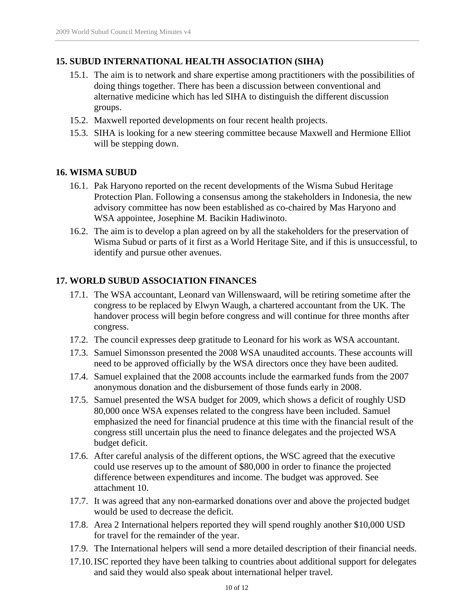## **15. SUBUD INTERNATIONAL HEALTH ASSOCIATION (SIHA)**

- 15.1. The aim is to network and share expertise among practitioners with the possibilities of doing things together. There has been a discussion between conventional and alternative medicine which has led SIHA to distinguish the different discussion groups.
- 15.2. Maxwell reported developments on four recent health projects.
- 15.3. SIHA is looking for a new steering committee because Maxwell and Hermione Elliot will be stepping down.

#### **16. WISMA SUBUD**

- 16.1. Pak Haryono reported on the recent developments of the Wisma Subud Heritage Protection Plan. Following a consensus among the stakeholders in Indonesia, the new advisory committee has now been established as co-chaired by Mas Haryono and WSA appointee, Josephine M. Bacikin Hadiwinoto.
- 16.2. The aim is to develop a plan agreed on by all the stakeholders for the preservation of Wisma Subud or parts of it first as a World Heritage Site, and if this is unsuccessful, to identify and pursue other avenues.

#### **17. WORLD SUBUD ASSOCIATION FINANCES**

- 17.1. The WSA accountant, Leonard van Willenswaard, will be retiring sometime after the congress to be replaced by Elwyn Waugh, a chartered accountant from the UK. The handover process will begin before congress and will continue for three months after congress.
- 17.2. The council expresses deep gratitude to Leonard for his work as WSA accountant.
- 17.3. Samuel Simonsson presented the 2008 WSA unaudited accounts. These accounts will need to be approved officially by the WSA directors once they have been audited.
- 17.4. Samuel explained that the 2008 accounts include the earmarked funds from the 2007 anonymous donation and the disbursement of those funds early in 2008.
- 17.5. Samuel presented the WSA budget for 2009, which shows a deficit of roughly USD 80,000 once WSA expenses related to the congress have been included. Samuel emphasized the need for financial prudence at this time with the financial result of the congress still uncertain plus the need to finance delegates and the projected WSA budget deficit.
- 17.6. After careful analysis of the different options, the WSC agreed that the executive could use reserves up to the amount of \$80,000 in order to finance the projected difference between expenditures and income. The budget was approved. See attachment 10.
- 17.7. It was agreed that any non-earmarked donations over and above the projected budget would be used to decrease the deficit.
- 17.8. Area 2 International helpers reported they will spend roughly another \$10,000 USD for travel for the remainder of the year.
- 17.9. The International helpers will send a more detailed description of their financial needs.
- 17.10.ISC reported they have been talking to countries about additional support for delegates and said they would also speak about international helper travel.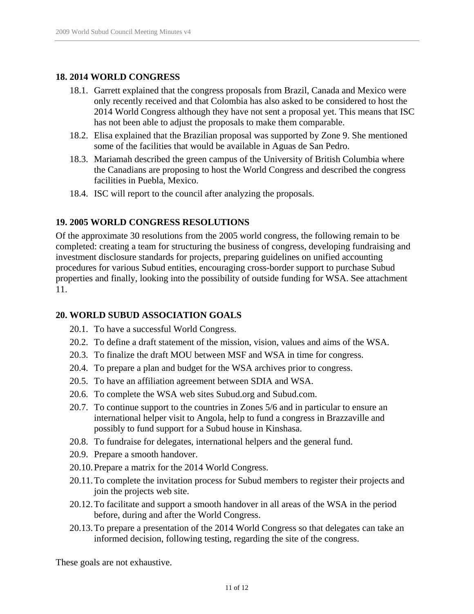#### **18. 2014 WORLD CONGRESS**

- 18.1. Garrett explained that the congress proposals from Brazil, Canada and Mexico were only recently received and that Colombia has also asked to be considered to host the 2014 World Congress although they have not sent a proposal yet. This means that ISC has not been able to adjust the proposals to make them comparable.
- 18.2. Elisa explained that the Brazilian proposal was supported by Zone 9. She mentioned some of the facilities that would be available in Aguas de San Pedro.
- 18.3. Mariamah described the green campus of the University of British Columbia where the Canadians are proposing to host the World Congress and described the congress facilities in Puebla, Mexico.
- 18.4. ISC will report to the council after analyzing the proposals.

#### **19. 2005 WORLD CONGRESS RESOLUTIONS**

Of the approximate 30 resolutions from the 2005 world congress, the following remain to be completed: creating a team for structuring the business of congress, developing fundraising and investment disclosure standards for projects, preparing guidelines on unified accounting procedures for various Subud entities, encouraging cross-border support to purchase Subud properties and finally, looking into the possibility of outside funding for WSA. See attachment 11.

#### **20. WORLD SUBUD ASSOCIATION GOALS**

- 20.1. To have a successful World Congress.
- 20.2. To define a draft statement of the mission, vision, values and aims of the WSA.
- 20.3. To finalize the draft MOU between MSF and WSA in time for congress.
- 20.4. To prepare a plan and budget for the WSA archives prior to congress.
- 20.5. To have an affiliation agreement between SDIA and WSA.
- 20.6. To complete the WSA web sites Subud.org and Subud.com.
- 20.7. To continue support to the countries in Zones 5/6 and in particular to ensure an international helper visit to Angola, help to fund a congress in Brazzaville and possibly to fund support for a Subud house in Kinshasa.
- 20.8. To fundraise for delegates, international helpers and the general fund.
- 20.9. Prepare a smooth handover.
- 20.10.Prepare a matrix for the 2014 World Congress.
- 20.11.To complete the invitation process for Subud members to register their projects and join the projects web site.
- 20.12.To facilitate and support a smooth handover in all areas of the WSA in the period before, during and after the World Congress.
- 20.13.To prepare a presentation of the 2014 World Congress so that delegates can take an informed decision, following testing, regarding the site of the congress.

These goals are not exhaustive.